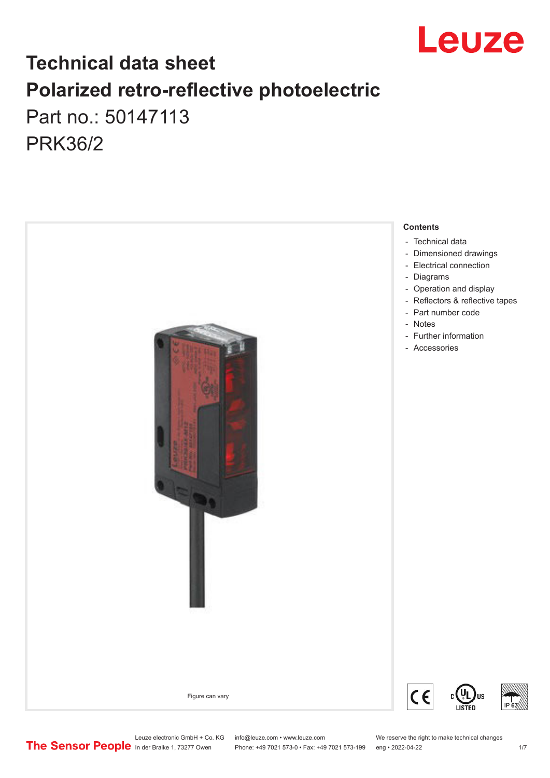

## **Technical data sheet Polarized retro-reflective photoelectric**  Part no.: 50147113 PRK36/2



Leuze electronic GmbH + Co. KG info@leuze.com • www.leuze.com We reserve the right to make technical changes<br>
The Sensor People in der Braike 1, 73277 Owen Phone: +49 7021 573-0 • Fax: +49 7021 573-199 eng • 2022-04-22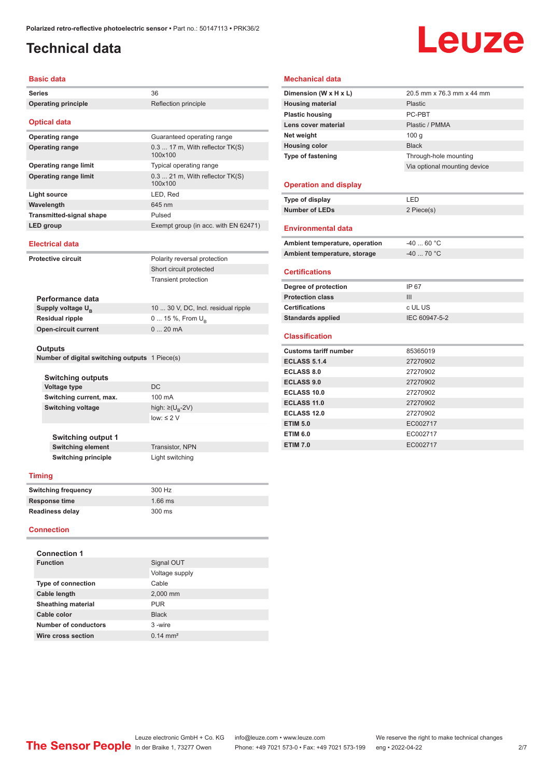## <span id="page-1-0"></span>**Technical data**

# Leuze

#### **Basic data**

| Daəit uata                                                |                                              |  |
|-----------------------------------------------------------|----------------------------------------------|--|
| <b>Series</b>                                             | 36                                           |  |
| <b>Operating principle</b>                                | Reflection principle                         |  |
| <b>Optical data</b>                                       |                                              |  |
| <b>Operating range</b>                                    | Guaranteed operating range                   |  |
| <b>Operating range</b>                                    | 0.3  17 m, With reflector TK(S)<br>100x100   |  |
| <b>Operating range limit</b>                              | Typical operating range                      |  |
| <b>Operating range limit</b>                              | $0.3$ 21 m, With reflector TK(S)<br>100x100  |  |
| <b>Light source</b>                                       | LED, Red                                     |  |
| Wavelength                                                | 645 nm                                       |  |
| <b>Transmitted-signal shape</b>                           | Pulsed                                       |  |
| LED group                                                 | Exempt group (in acc. with EN 62471)         |  |
| <b>Electrical data</b>                                    |                                              |  |
| <b>Protective circuit</b>                                 | Polarity reversal protection                 |  |
|                                                           | Short circuit protected                      |  |
|                                                           | <b>Transient protection</b>                  |  |
|                                                           |                                              |  |
| Performance data                                          |                                              |  |
| Supply voltage U <sub>B</sub>                             | 10  30 V, DC, Incl. residual ripple          |  |
| <b>Residual ripple</b>                                    | 0  15 %, From $U_{\rm B}$                    |  |
| <b>Open-circuit current</b>                               | 020mA                                        |  |
| Outputs<br>Number of digital switching outputs 1 Piece(s) |                                              |  |
| Switching outputs                                         | DC                                           |  |
| <b>Voltage type</b>                                       |                                              |  |
| Switching current, max.                                   | 100 mA                                       |  |
| <b>Switching voltage</b>                                  | high: ≥( $U_{\rm R}$ -2V)<br>$low: \leq 2$ V |  |
|                                                           |                                              |  |
| <b>Switching output 1</b>                                 |                                              |  |
| <b>Switching element</b>                                  | Transistor, NPN                              |  |
| <b>Switching principle</b>                                | Light switching                              |  |
| <b>Timing</b>                                             |                                              |  |
|                                                           |                                              |  |
| <b>Switching frequency</b>                                | 300 Hz                                       |  |
| Response time                                             | 1.66 ms                                      |  |
| <b>Readiness delay</b>                                    | 300 ms                                       |  |
| <b>Connection</b>                                         |                                              |  |
| <b>Connection 1</b>                                       |                                              |  |
| <b>Function</b>                                           | Signal OUT                                   |  |
|                                                           | Voltage supply                               |  |
| Type of connection                                        | Cable                                        |  |
| Cable length                                              | 2,000 mm                                     |  |

#### **Dimension (W x H x L)** 20.5 mm x 76.3 mm x 44 mm **Housing material** Plastic **Plastic housing** PC-PBT Lens cover material **Plastic / PMMA Net weight** 100 g **Housing color Black Type of fastening** Through-hole mounting Via optional mounting device **Operation and display Type of display** LED **Number of LEDs** 2 Piece(s)

#### **Environmental data**

**Mechanical data**

| Ambient temperature, operation | -40  60 °C |
|--------------------------------|------------|
| Ambient temperature, storage   | -40  70 °C |
|                                |            |

#### **Certifications**

| Degree of protection     | IP 67         |
|--------------------------|---------------|
| <b>Protection class</b>  | Ш             |
| <b>Certifications</b>    | c UL US       |
| <b>Standards applied</b> | IEC 60947-5-2 |

#### **Classification**

| <b>Customs tariff number</b> | 85365019 |
|------------------------------|----------|
| <b>ECLASS 5.1.4</b>          | 27270902 |
| <b>ECLASS 8.0</b>            | 27270902 |
| <b>ECLASS 9.0</b>            | 27270902 |
| <b>ECLASS 10.0</b>           | 27270902 |
| <b>ECLASS 11.0</b>           | 27270902 |
| ECLASS 12.0                  | 27270902 |
| <b>ETIM 5.0</b>              | EC002717 |
| <b>ETIM 6.0</b>              | EC002717 |
| <b>ETIM 7.0</b>              | EC002717 |

**Sheathing material** PUR **Cable color** Black **Number of conductors** 3 -wire **Wire cross section** 0.14 mm<sup>2</sup>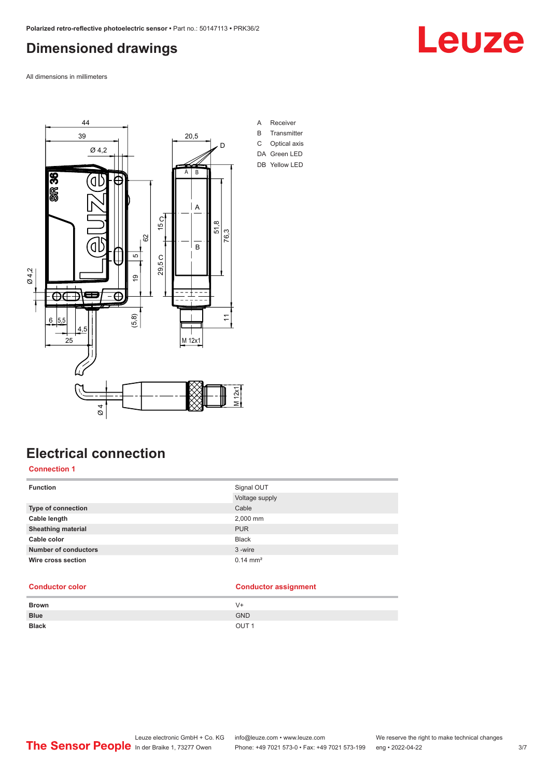### <span id="page-2-0"></span>**Dimensioned drawings**

All dimensions in millimeters



## **Electrical connection**

#### **Connection 1**

| <b>Function</b>             | Signal OUT            |
|-----------------------------|-----------------------|
|                             | Voltage supply        |
| <b>Type of connection</b>   | Cable                 |
| Cable length                | 2,000 mm              |
| <b>Sheathing material</b>   | <b>PUR</b>            |
| Cable color                 | <b>Black</b>          |
| <b>Number of conductors</b> | 3-wire                |
| Wire cross section          | $0.14 \, \text{mm}^2$ |

#### **Conductor color Conductor assignment**

| <b>Brown</b> | V+               |
|--------------|------------------|
| <b>Blue</b>  | <b>GND</b>       |
| <b>Black</b> | OUT <sub>1</sub> |

## Leuze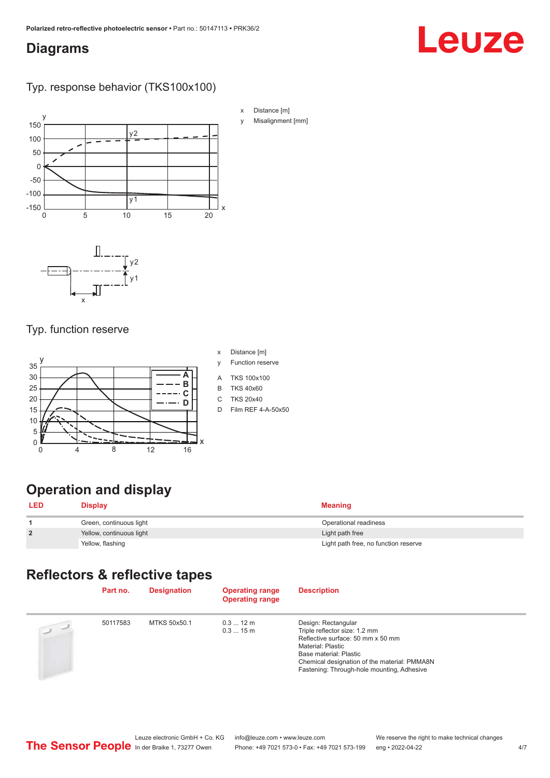### <span id="page-3-0"></span>**Diagrams**

## Leuze

#### Typ. response behavior (TKS100x100)



#### Typ. function reserve



- x Distance [m]
- y Function reserve
- A TKS 100x100
- B TKS 40x60
- C TKS 20x40
- D Film REF 4-A-50x50

### **Operation and display**

| <b>LED</b>     | <b>Display</b>           | <b>Meaning</b>                       |
|----------------|--------------------------|--------------------------------------|
|                | Green, continuous light  | Operational readiness                |
| $\overline{2}$ | Yellow, continuous light | Light path free                      |
|                | Yellow, flashing         | Light path free, no function reserve |

### **Reflectors & reflective tapes**

|                | Part no. | <b>Designation</b> | <b>Operating range</b><br><b>Operating range</b> | <b>Description</b>                                                                                                                                                                                                                     |
|----------------|----------|--------------------|--------------------------------------------------|----------------------------------------------------------------------------------------------------------------------------------------------------------------------------------------------------------------------------------------|
| $\overline{2}$ | 50117583 | MTKS 50x50.1       | $0.312 \text{ m}$<br>0.315m                      | Design: Rectangular<br>Triple reflector size: 1.2 mm<br>Reflective surface: 50 mm x 50 mm<br>Material: Plastic<br>Base material: Plastic<br>Chemical designation of the material: PMMA8N<br>Fastening: Through-hole mounting, Adhesive |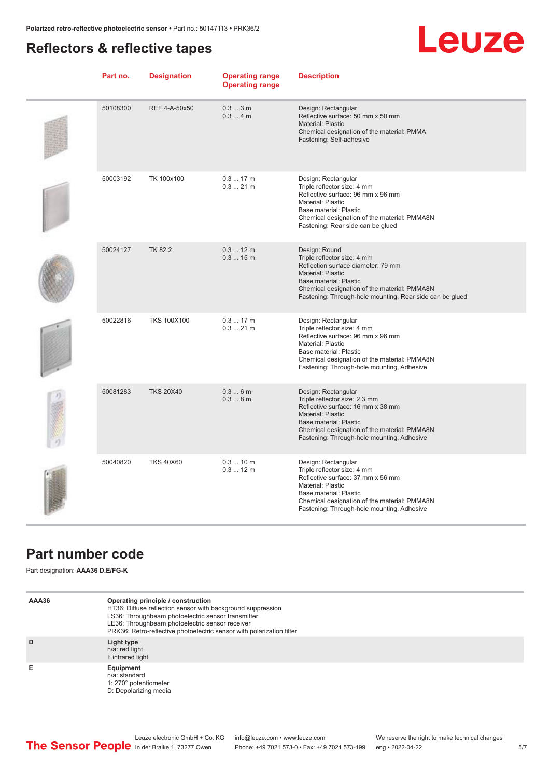### <span id="page-4-0"></span>**Reflectors & reflective tapes**

## **Leuze**

| Part no. | <b>Designation</b> | <b>Operating range</b><br><b>Operating range</b> | <b>Description</b>                                                                                                                                                                                                                            |
|----------|--------------------|--------------------------------------------------|-----------------------------------------------------------------------------------------------------------------------------------------------------------------------------------------------------------------------------------------------|
| 50108300 | REF 4-A-50x50      | $0.33$ m<br>0.34m                                | Design: Rectangular<br>Reflective surface: 50 mm x 50 mm<br>Material: Plastic<br>Chemical designation of the material: PMMA<br>Fastening: Self-adhesive                                                                                       |
| 50003192 | TK 100x100         | $0.317$ m<br>$0.321$ m                           | Design: Rectangular<br>Triple reflector size: 4 mm<br>Reflective surface: 96 mm x 96 mm<br>Material: Plastic<br>Base material: Plastic<br>Chemical designation of the material: PMMA8N<br>Fastening: Rear side can be glued                   |
| 50024127 | TK 82.2            | $0.312 \text{ m}$<br>0.315m                      | Design: Round<br>Triple reflector size: 4 mm<br>Reflection surface diameter: 79 mm<br>Material: Plastic<br>Base material: Plastic<br>Chemical designation of the material: PMMA8N<br>Fastening: Through-hole mounting, Rear side can be glued |
| 50022816 | <b>TKS 100X100</b> | 0.317m<br>$0.321$ m                              | Design: Rectangular<br>Triple reflector size: 4 mm<br>Reflective surface: 96 mm x 96 mm<br>Material: Plastic<br>Base material: Plastic<br>Chemical designation of the material: PMMA8N<br>Fastening: Through-hole mounting, Adhesive          |
| 50081283 | <b>TKS 20X40</b>   | 0.36m<br>0.38m                                   | Design: Rectangular<br>Triple reflector size: 2.3 mm<br>Reflective surface: 16 mm x 38 mm<br>Material: Plastic<br>Base material: Plastic<br>Chemical designation of the material: PMMA8N<br>Fastening: Through-hole mounting, Adhesive        |
| 50040820 | <b>TKS 40X60</b>   | 0.310 m<br>$0.312 \text{ m}$                     | Design: Rectangular<br>Triple reflector size: 4 mm<br>Reflective surface: 37 mm x 56 mm<br>Material: Plastic<br>Base material: Plastic<br>Chemical designation of the material: PMMA8N<br>Fastening: Through-hole mounting, Adhesive          |

### **Part number code**

Part designation: **AAA36 D.E/FG-K**

| AAA36 | Operating principle / construction<br>HT36: Diffuse reflection sensor with background suppression<br>LS36: Throughbeam photoelectric sensor transmitter<br>LE36: Throughbeam photoelectric sensor receiver<br>PRK36: Retro-reflective photoelectric sensor with polarization filter |
|-------|-------------------------------------------------------------------------------------------------------------------------------------------------------------------------------------------------------------------------------------------------------------------------------------|
| D     | Light type<br>n/a: red light<br>I: infrared light                                                                                                                                                                                                                                   |
| Е     | Equipment<br>n/a: standard<br>1: 270° potentiometer<br>D: Depolarizing media                                                                                                                                                                                                        |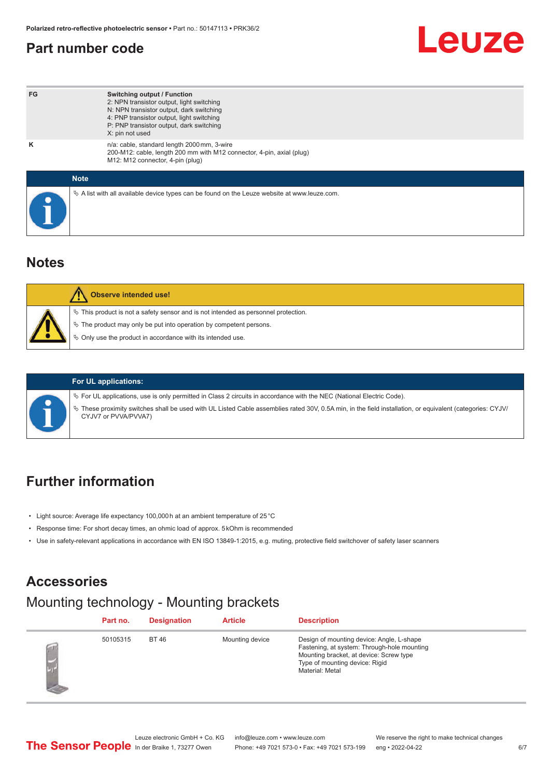### <span id="page-5-0"></span>**Part number code**

## Leuze

| FG          | <b>Switching output / Function</b><br>2: NPN transistor output, light switching<br>N: NPN transistor output, dark switching<br>4: PNP transistor output, light switching<br>P: PNP transistor output, dark switching<br>X: pin not used |
|-------------|-----------------------------------------------------------------------------------------------------------------------------------------------------------------------------------------------------------------------------------------|
| ĸ           | n/a: cable, standard length 2000 mm, 3-wire<br>200-M12: cable, length 200 mm with M12 connector, 4-pin, axial (plug)<br>M12: M12 connector, 4-pin (plug)                                                                                |
| <b>Note</b> |                                                                                                                                                                                                                                         |
|             | $\&$ A list with all available device types can be found on the Leuze website at www.leuze.com.                                                                                                                                         |

#### **Notes**

| Observe intended use!                                                                 |
|---------------------------------------------------------------------------------------|
| $\%$ This product is not a safety sensor and is not intended as personnel protection. |
| $\%$ The product may only be put into operation by competent persons.                 |
| ♦ Only use the product in accordance with its intended use.                           |
|                                                                                       |



#### **For UL applications:**

ª For UL applications, use is only permitted in Class 2 circuits in accordance with the NEC (National Electric Code).

ª These proximity switches shall be used with UL Listed Cable assemblies rated 30V, 0.5A min, in the field installation, or equivalent (categories: CYJV/ CYJV7 or PVVA/PVVA7)

### **Further information**

- Light source: Average life expectancy 100,000 h at an ambient temperature of 25 °C
- Response time: For short decay times, an ohmic load of approx. 5 kOhm is recommended
- Use in safety-relevant applications in accordance with EN ISO 13849-1:2015, e.g. muting, protective field switchover of safety laser scanners

#### **Accessories**

#### Mounting technology - Mounting brackets

| Part no. | <b>Designation</b> | <b>Article</b>  | <b>Description</b>                                                                                                                                                                       |
|----------|--------------------|-----------------|------------------------------------------------------------------------------------------------------------------------------------------------------------------------------------------|
| 50105315 | <b>BT46</b>        | Mounting device | Design of mounting device: Angle, L-shape<br>Fastening, at system: Through-hole mounting<br>Mounting bracket, at device: Screw type<br>Type of mounting device: Rigid<br>Material: Metal |